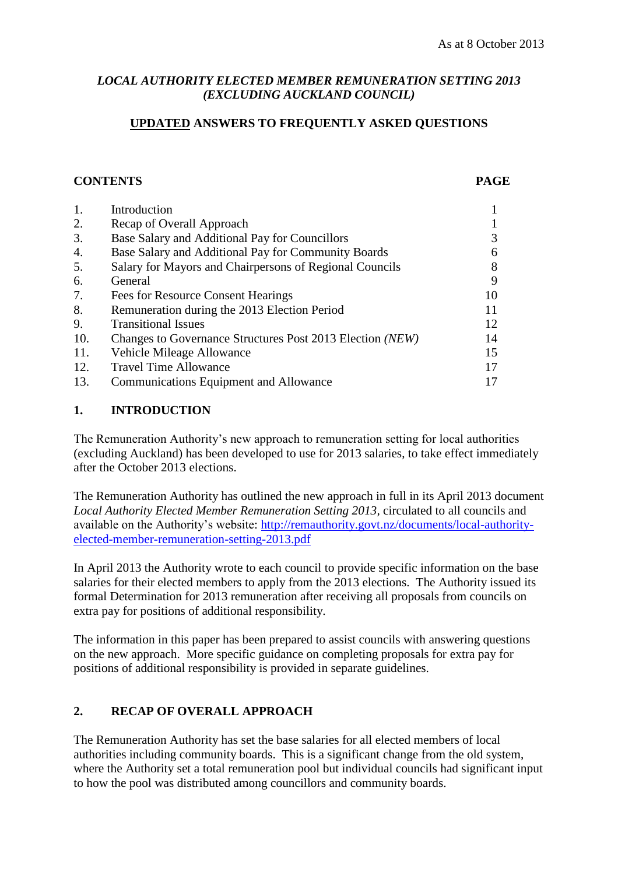# *LOCAL AUTHORITY ELECTED MEMBER REMUNERATION SETTING 2013 (EXCLUDING AUCKLAND COUNCIL)*

# **UPDATED ANSWERS TO FREQUENTLY ASKED QUESTIONS**

# **CONTENTS PAGE**

| 1.  | Introduction                                              |    |
|-----|-----------------------------------------------------------|----|
| 2.  | Recap of Overall Approach                                 |    |
| 3.  | Base Salary and Additional Pay for Councillors            |    |
| 4.  | Base Salary and Additional Pay for Community Boards       |    |
| 5.  | Salary for Mayors and Chairpersons of Regional Councils   |    |
| 6.  | General                                                   | 9  |
| 7.  | <b>Fees for Resource Consent Hearings</b>                 | 10 |
| 8.  | Remuneration during the 2013 Election Period              | 11 |
| 9.  | <b>Transitional Issues</b>                                | 12 |
| 10. | Changes to Governance Structures Post 2013 Election (NEW) | 14 |
| 11. | Vehicle Mileage Allowance                                 | 15 |
| 12. | <b>Travel Time Allowance</b>                              |    |
| 13. | <b>Communications Equipment and Allowance</b>             |    |

# **1. INTRODUCTION**

The Remuneration Authority's new approach to remuneration setting for local authorities (excluding Auckland) has been developed to use for 2013 salaries, to take effect immediately after the October 2013 elections.

The Remuneration Authority has outlined the new approach in full in its April 2013 document *Local Authority Elected Member Remuneration Setting 2013,* circulated to all councils and available on the Authority's website: [http://remauthority.govt.nz/documents/local-authority](http://remauthority.govt.nz/documents/local-authority-elected-member-remuneration-setting-2013.pdf)[elected-member-remuneration-setting-2013.pdf](http://remauthority.govt.nz/documents/local-authority-elected-member-remuneration-setting-2013.pdf)

In April 2013 the Authority wrote to each council to provide specific information on the base salaries for their elected members to apply from the 2013 elections. The Authority issued its formal Determination for 2013 remuneration after receiving all proposals from councils on extra pay for positions of additional responsibility.

The information in this paper has been prepared to assist councils with answering questions on the new approach. More specific guidance on completing proposals for extra pay for positions of additional responsibility is provided in separate guidelines.

# **2. RECAP OF OVERALL APPROACH**

The Remuneration Authority has set the base salaries for all elected members of local authorities including community boards. This is a significant change from the old system, where the Authority set a total remuneration pool but individual councils had significant input to how the pool was distributed among councillors and community boards.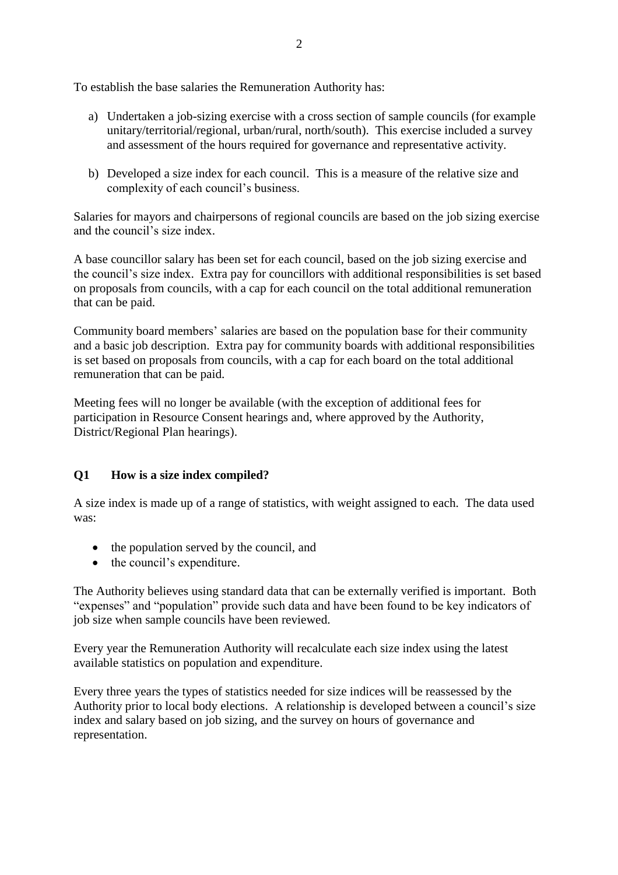To establish the base salaries the Remuneration Authority has:

- a) Undertaken a job-sizing exercise with a cross section of sample councils (for example unitary/territorial/regional, urban/rural, north/south). This exercise included a survey and assessment of the hours required for governance and representative activity.
- b) Developed a size index for each council. This is a measure of the relative size and complexity of each council's business.

Salaries for mayors and chairpersons of regional councils are based on the job sizing exercise and the council's size index.

A base councillor salary has been set for each council, based on the job sizing exercise and the council's size index. Extra pay for councillors with additional responsibilities is set based on proposals from councils, with a cap for each council on the total additional remuneration that can be paid.

Community board members' salaries are based on the population base for their community and a basic job description. Extra pay for community boards with additional responsibilities is set based on proposals from councils, with a cap for each board on the total additional remuneration that can be paid.

Meeting fees will no longer be available (with the exception of additional fees for participation in Resource Consent hearings and, where approved by the Authority, District/Regional Plan hearings).

# **Q1 How is a size index compiled?**

A size index is made up of a range of statistics, with weight assigned to each. The data used was:

- the population served by the council, and
- the council's expenditure.

The Authority believes using standard data that can be externally verified is important. Both "expenses" and "population" provide such data and have been found to be key indicators of job size when sample councils have been reviewed.

Every year the Remuneration Authority will recalculate each size index using the latest available statistics on population and expenditure.

Every three years the types of statistics needed for size indices will be reassessed by the Authority prior to local body elections. A relationship is developed between a council's size index and salary based on job sizing, and the survey on hours of governance and representation.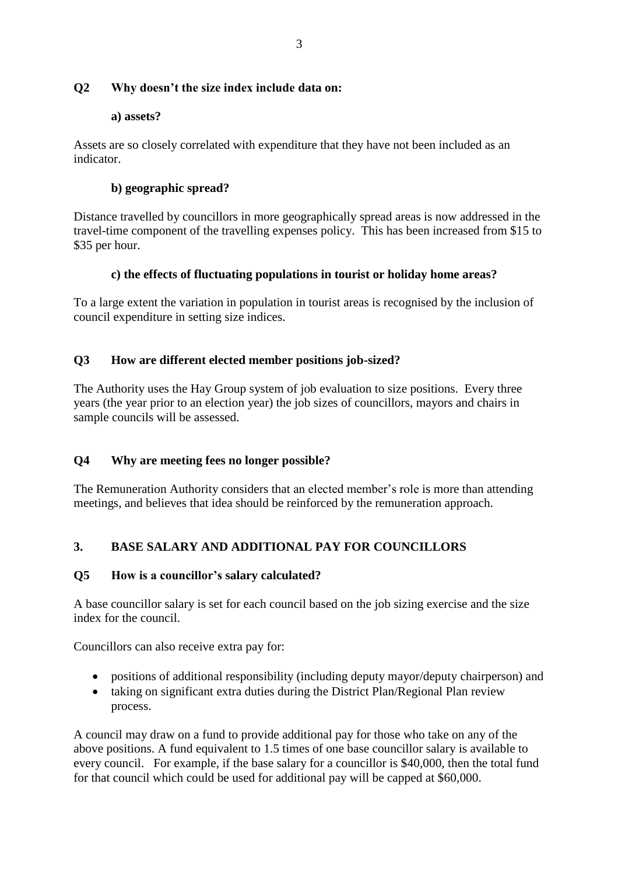# **Q2 Why doesn't the size index include data on:**

## **a) assets?**

Assets are so closely correlated with expenditure that they have not been included as an indicator.

# **b) geographic spread?**

Distance travelled by councillors in more geographically spread areas is now addressed in the travel-time component of the travelling expenses policy. This has been increased from \$15 to \$35 per hour.

# **c) the effects of fluctuating populations in tourist or holiday home areas?**

To a large extent the variation in population in tourist areas is recognised by the inclusion of council expenditure in setting size indices.

# **Q3 How are different elected member positions job-sized?**

The Authority uses the Hay Group system of job evaluation to size positions. Every three years (the year prior to an election year) the job sizes of councillors, mayors and chairs in sample councils will be assessed.

# **Q4 Why are meeting fees no longer possible?**

The Remuneration Authority considers that an elected member's role is more than attending meetings, and believes that idea should be reinforced by the remuneration approach.

# **3. BASE SALARY AND ADDITIONAL PAY FOR COUNCILLORS**

#### **Q5 How is a councillor's salary calculated?**

A base councillor salary is set for each council based on the job sizing exercise and the size index for the council.

Councillors can also receive extra pay for:

- positions of additional responsibility (including deputy mayor/deputy chairperson) and
- taking on significant extra duties during the District Plan/Regional Plan review process.

A council may draw on a fund to provide additional pay for those who take on any of the above positions. A fund equivalent to 1.5 times of one base councillor salary is available to every council. For example, if the base salary for a councillor is \$40,000, then the total fund for that council which could be used for additional pay will be capped at \$60,000.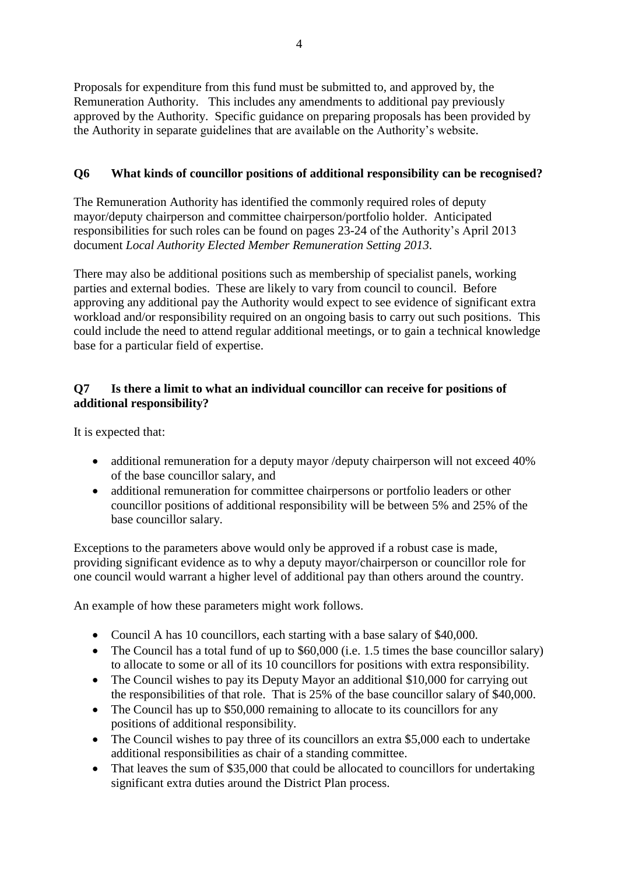Proposals for expenditure from this fund must be submitted to, and approved by, the Remuneration Authority. This includes any amendments to additional pay previously approved by the Authority. Specific guidance on preparing proposals has been provided by the Authority in separate guidelines that are available on the Authority's website.

# **Q6 What kinds of councillor positions of additional responsibility can be recognised?**

The Remuneration Authority has identified the commonly required roles of deputy mayor/deputy chairperson and committee chairperson/portfolio holder. Anticipated responsibilities for such roles can be found on pages 23-24 of the Authority's April 2013 document *Local Authority Elected Member Remuneration Setting 2013.*

There may also be additional positions such as membership of specialist panels, working parties and external bodies. These are likely to vary from council to council. Before approving any additional pay the Authority would expect to see evidence of significant extra workload and/or responsibility required on an ongoing basis to carry out such positions. This could include the need to attend regular additional meetings, or to gain a technical knowledge base for a particular field of expertise.

# **Q7 Is there a limit to what an individual councillor can receive for positions of additional responsibility?**

It is expected that:

- additional remuneration for a deputy mayor /deputy chairperson will not exceed 40% of the base councillor salary, and
- additional remuneration for committee chairpersons or portfolio leaders or other councillor positions of additional responsibility will be between 5% and 25% of the base councillor salary.

Exceptions to the parameters above would only be approved if a robust case is made, providing significant evidence as to why a deputy mayor/chairperson or councillor role for one council would warrant a higher level of additional pay than others around the country.

An example of how these parameters might work follows.

- Council A has 10 councillors, each starting with a base salary of \$40,000.
- The Council has a total fund of up to \$60,000 (i.e. 1.5 times the base councillor salary) to allocate to some or all of its 10 councillors for positions with extra responsibility.
- The Council wishes to pay its Deputy Mayor an additional \$10,000 for carrying out the responsibilities of that role. That is 25% of the base councillor salary of \$40,000.
- The Council has up to \$50,000 remaining to allocate to its councillors for any positions of additional responsibility.
- The Council wishes to pay three of its councillors an extra \$5,000 each to undertake additional responsibilities as chair of a standing committee.
- That leaves the sum of \$35,000 that could be allocated to councillors for undertaking significant extra duties around the District Plan process.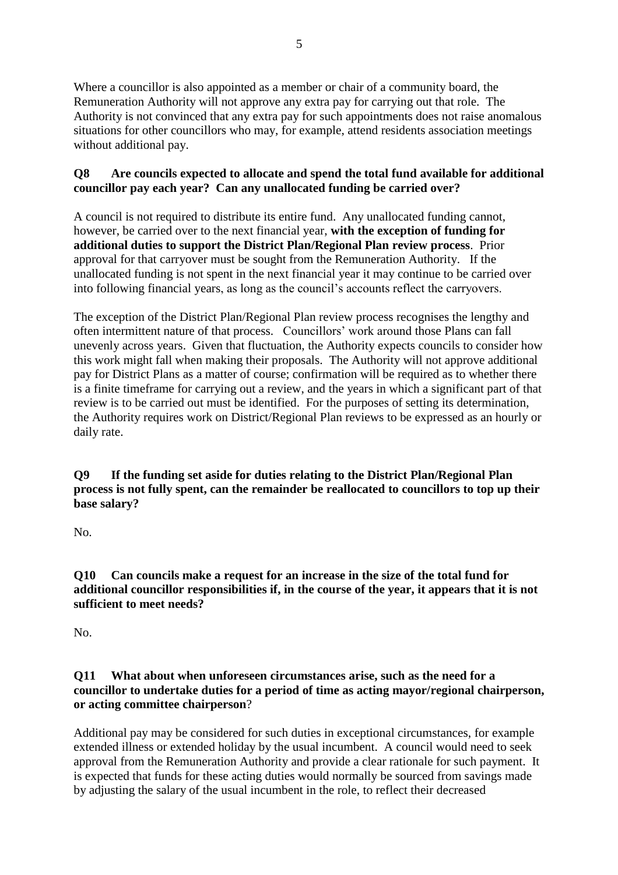Where a councillor is also appointed as a member or chair of a community board, the Remuneration Authority will not approve any extra pay for carrying out that role. The Authority is not convinced that any extra pay for such appointments does not raise anomalous situations for other councillors who may, for example, attend residents association meetings without additional pay.

# **Q8 Are councils expected to allocate and spend the total fund available for additional councillor pay each year? Can any unallocated funding be carried over?**

A council is not required to distribute its entire fund. Any unallocated funding cannot, however, be carried over to the next financial year, **with the exception of funding for additional duties to support the District Plan/Regional Plan review process**. Prior approval for that carryover must be sought from the Remuneration Authority. If the unallocated funding is not spent in the next financial year it may continue to be carried over into following financial years, as long as the council's accounts reflect the carryovers.

The exception of the District Plan/Regional Plan review process recognises the lengthy and often intermittent nature of that process. Councillors' work around those Plans can fall unevenly across years. Given that fluctuation, the Authority expects councils to consider how this work might fall when making their proposals. The Authority will not approve additional pay for District Plans as a matter of course; confirmation will be required as to whether there is a finite timeframe for carrying out a review, and the years in which a significant part of that review is to be carried out must be identified. For the purposes of setting its determination, the Authority requires work on District/Regional Plan reviews to be expressed as an hourly or daily rate.

# **Q9 If the funding set aside for duties relating to the District Plan/Regional Plan process is not fully spent, can the remainder be reallocated to councillors to top up their base salary?**

No.

**Q10 Can councils make a request for an increase in the size of the total fund for additional councillor responsibilities if, in the course of the year, it appears that it is not sufficient to meet needs?**

No.

# **Q11 What about when unforeseen circumstances arise, such as the need for a councillor to undertake duties for a period of time as acting mayor/regional chairperson, or acting committee chairperson**?

Additional pay may be considered for such duties in exceptional circumstances, for example extended illness or extended holiday by the usual incumbent. A council would need to seek approval from the Remuneration Authority and provide a clear rationale for such payment. It is expected that funds for these acting duties would normally be sourced from savings made by adjusting the salary of the usual incumbent in the role, to reflect their decreased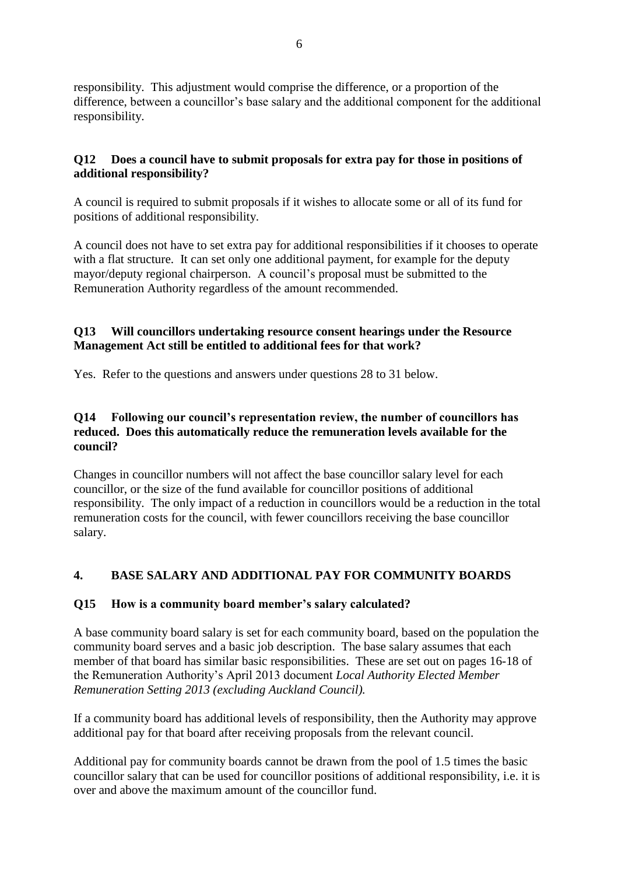responsibility. This adjustment would comprise the difference, or a proportion of the difference, between a councillor's base salary and the additional component for the additional responsibility.

# **Q12 Does a council have to submit proposals for extra pay for those in positions of additional responsibility?**

A council is required to submit proposals if it wishes to allocate some or all of its fund for positions of additional responsibility.

A council does not have to set extra pay for additional responsibilities if it chooses to operate with a flat structure. It can set only one additional payment, for example for the deputy mayor/deputy regional chairperson. A council's proposal must be submitted to the Remuneration Authority regardless of the amount recommended.

# **Q13 Will councillors undertaking resource consent hearings under the Resource Management Act still be entitled to additional fees for that work?**

Yes. Refer to the questions and answers under questions 28 to 31 below.

# **Q14 Following our council's representation review, the number of councillors has reduced. Does this automatically reduce the remuneration levels available for the council?**

Changes in councillor numbers will not affect the base councillor salary level for each councillor, or the size of the fund available for councillor positions of additional responsibility. The only impact of a reduction in councillors would be a reduction in the total remuneration costs for the council, with fewer councillors receiving the base councillor salary.

# **4. BASE SALARY AND ADDITIONAL PAY FOR COMMUNITY BOARDS**

# **Q15 How is a community board member's salary calculated?**

A base community board salary is set for each community board, based on the population the community board serves and a basic job description. The base salary assumes that each member of that board has similar basic responsibilities. These are set out on pages 16-18 of the Remuneration Authority's April 2013 document *Local Authority Elected Member Remuneration Setting 2013 (excluding Auckland Council).*

If a community board has additional levels of responsibility, then the Authority may approve additional pay for that board after receiving proposals from the relevant council.

Additional pay for community boards cannot be drawn from the pool of 1.5 times the basic councillor salary that can be used for councillor positions of additional responsibility, i.e. it is over and above the maximum amount of the councillor fund.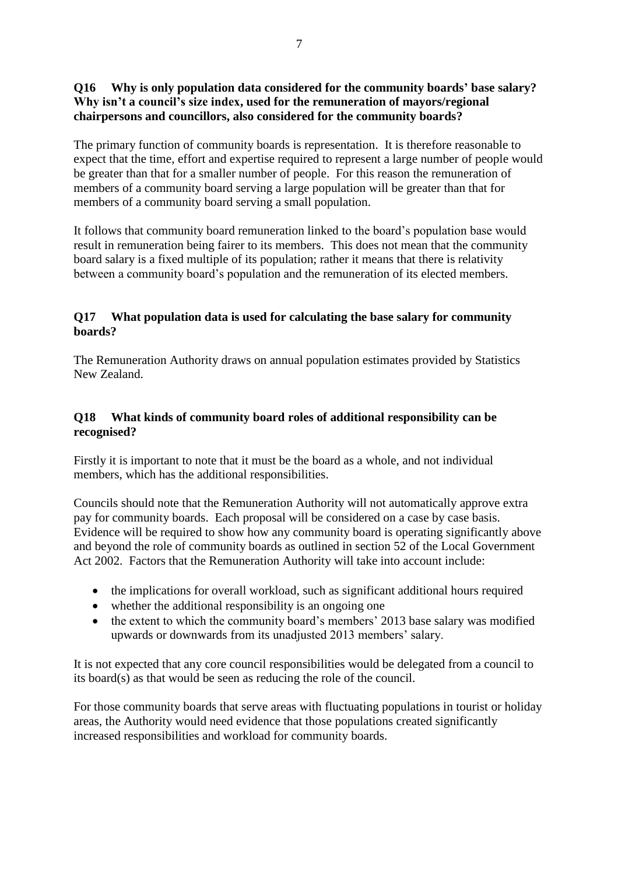# **Q16 Why is only population data considered for the community boards' base salary? Why isn't a council's size index, used for the remuneration of mayors/regional chairpersons and councillors, also considered for the community boards?**

The primary function of community boards is representation. It is therefore reasonable to expect that the time, effort and expertise required to represent a large number of people would be greater than that for a smaller number of people. For this reason the remuneration of members of a community board serving a large population will be greater than that for members of a community board serving a small population.

It follows that community board remuneration linked to the board's population base would result in remuneration being fairer to its members. This does not mean that the community board salary is a fixed multiple of its population; rather it means that there is relativity between a community board's population and the remuneration of its elected members.

# **Q17 What population data is used for calculating the base salary for community boards?**

The Remuneration Authority draws on annual population estimates provided by Statistics New Zealand.

# **Q18 What kinds of community board roles of additional responsibility can be recognised?**

Firstly it is important to note that it must be the board as a whole, and not individual members, which has the additional responsibilities.

Councils should note that the Remuneration Authority will not automatically approve extra pay for community boards. Each proposal will be considered on a case by case basis. Evidence will be required to show how any community board is operating significantly above and beyond the role of community boards as outlined in section 52 of the Local Government Act 2002. Factors that the Remuneration Authority will take into account include:

- the implications for overall workload, such as significant additional hours required
- whether the additional responsibility is an ongoing one
- the extent to which the community board's members' 2013 base salary was modified upwards or downwards from its unadjusted 2013 members' salary.

It is not expected that any core council responsibilities would be delegated from a council to its board(s) as that would be seen as reducing the role of the council.

For those community boards that serve areas with fluctuating populations in tourist or holiday areas, the Authority would need evidence that those populations created significantly increased responsibilities and workload for community boards.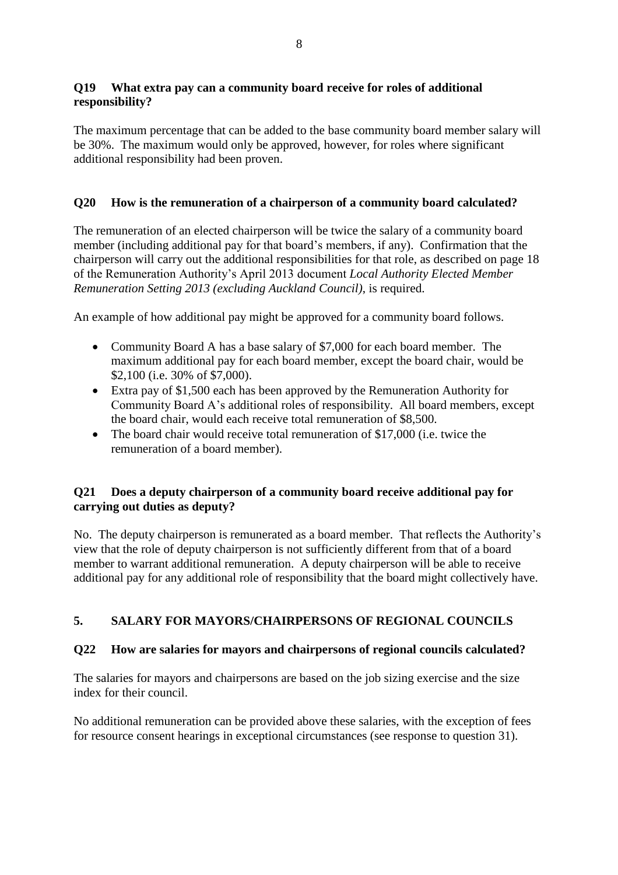# **Q19 What extra pay can a community board receive for roles of additional responsibility?**

The maximum percentage that can be added to the base community board member salary will be 30%. The maximum would only be approved, however, for roles where significant additional responsibility had been proven.

# **Q20 How is the remuneration of a chairperson of a community board calculated?**

The remuneration of an elected chairperson will be twice the salary of a community board member (including additional pay for that board's members, if any). Confirmation that the chairperson will carry out the additional responsibilities for that role, as described on page 18 of the Remuneration Authority's April 2013 document *Local Authority Elected Member Remuneration Setting 2013 (excluding Auckland Council)*, is required.

An example of how additional pay might be approved for a community board follows.

- Community Board A has a base salary of \$7,000 for each board member. The maximum additional pay for each board member, except the board chair, would be \$2,100 (i.e. 30% of \$7,000).
- Extra pay of \$1,500 each has been approved by the Remuneration Authority for Community Board A's additional roles of responsibility. All board members, except the board chair, would each receive total remuneration of \$8,500.
- The board chair would receive total remuneration of \$17,000 (i.e. twice the remuneration of a board member).

## **Q21 Does a deputy chairperson of a community board receive additional pay for carrying out duties as deputy?**

No. The deputy chairperson is remunerated as a board member. That reflects the Authority's view that the role of deputy chairperson is not sufficiently different from that of a board member to warrant additional remuneration. A deputy chairperson will be able to receive additional pay for any additional role of responsibility that the board might collectively have.

# **5. SALARY FOR MAYORS/CHAIRPERSONS OF REGIONAL COUNCILS**

# **Q22 How are salaries for mayors and chairpersons of regional councils calculated?**

The salaries for mayors and chairpersons are based on the job sizing exercise and the size index for their council.

No additional remuneration can be provided above these salaries, with the exception of fees for resource consent hearings in exceptional circumstances (see response to question 31).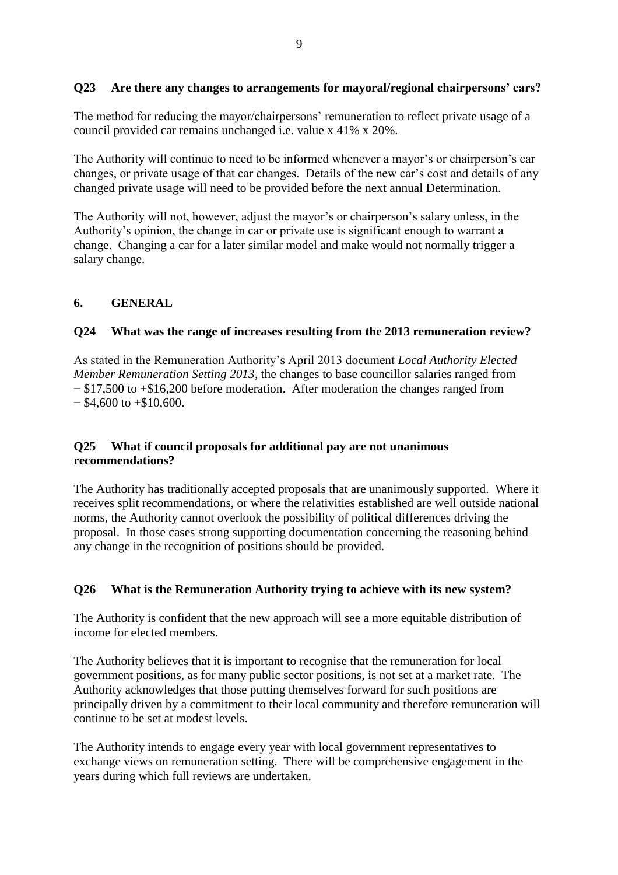# **Q23 Are there any changes to arrangements for mayoral/regional chairpersons' cars?**

The method for reducing the mayor/chairpersons' remuneration to reflect private usage of a council provided car remains unchanged i.e. value x 41% x 20%.

The Authority will continue to need to be informed whenever a mayor's or chairperson's car changes, or private usage of that car changes. Details of the new car's cost and details of any changed private usage will need to be provided before the next annual Determination.

The Authority will not, however, adjust the mayor's or chairperson's salary unless, in the Authority's opinion, the change in car or private use is significant enough to warrant a change. Changing a car for a later similar model and make would not normally trigger a salary change.

## **6. GENERAL**

## **Q24 What was the range of increases resulting from the 2013 remuneration review?**

As stated in the Remuneration Authority's April 2013 document *Local Authority Elected Member Remuneration Setting 2013*, the changes to base councillor salaries ranged from − \$17,500 to +\$16,200 before moderation. After moderation the changes ranged from  $-$  \$4,600 to  $+$ \$10,600.

## **Q25 What if council proposals for additional pay are not unanimous recommendations?**

The Authority has traditionally accepted proposals that are unanimously supported. Where it receives split recommendations, or where the relativities established are well outside national norms, the Authority cannot overlook the possibility of political differences driving the proposal. In those cases strong supporting documentation concerning the reasoning behind any change in the recognition of positions should be provided.

# **Q26 What is the Remuneration Authority trying to achieve with its new system?**

The Authority is confident that the new approach will see a more equitable distribution of income for elected members.

The Authority believes that it is important to recognise that the remuneration for local government positions, as for many public sector positions, is not set at a market rate. The Authority acknowledges that those putting themselves forward for such positions are principally driven by a commitment to their local community and therefore remuneration will continue to be set at modest levels.

The Authority intends to engage every year with local government representatives to exchange views on remuneration setting. There will be comprehensive engagement in the years during which full reviews are undertaken.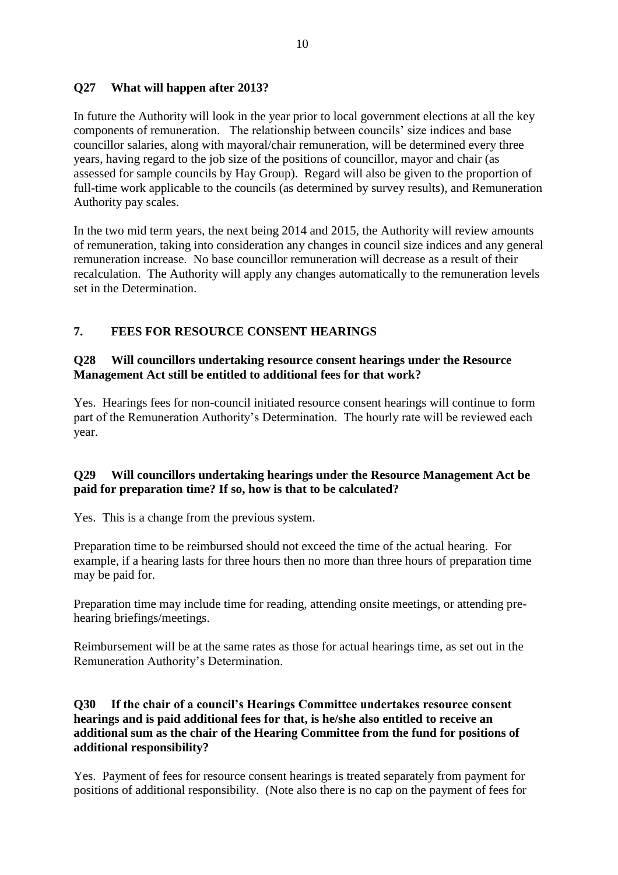# **Q27 What will happen after 2013?**

In future the Authority will look in the year prior to local government elections at all the key components of remuneration. The relationship between councils' size indices and base councillor salaries, along with mayoral/chair remuneration, will be determined every three years, having regard to the job size of the positions of councillor, mayor and chair (as assessed for sample councils by Hay Group). Regard will also be given to the proportion of full-time work applicable to the councils (as determined by survey results), and Remuneration Authority pay scales.

In the two mid term years, the next being 2014 and 2015, the Authority will review amounts of remuneration, taking into consideration any changes in council size indices and any general remuneration increase. No base councillor remuneration will decrease as a result of their recalculation. The Authority will apply any changes automatically to the remuneration levels set in the Determination.

# **7. FEES FOR RESOURCE CONSENT HEARINGS**

## **Q28 Will councillors undertaking resource consent hearings under the Resource Management Act still be entitled to additional fees for that work?**

Yes. Hearings fees for non-council initiated resource consent hearings will continue to form part of the Remuneration Authority's Determination. The hourly rate will be reviewed each year.

# **Q29 Will councillors undertaking hearings under the Resource Management Act be paid for preparation time? If so, how is that to be calculated?**

Yes. This is a change from the previous system.

Preparation time to be reimbursed should not exceed the time of the actual hearing. For example, if a hearing lasts for three hours then no more than three hours of preparation time may be paid for.

Preparation time may include time for reading, attending onsite meetings, or attending prehearing briefings/meetings.

Reimbursement will be at the same rates as those for actual hearings time, as set out in the Remuneration Authority's Determination.

## **Q30 If the chair of a council's Hearings Committee undertakes resource consent hearings and is paid additional fees for that, is he/she also entitled to receive an additional sum as the chair of the Hearing Committee from the fund for positions of additional responsibility?**

Yes. Payment of fees for resource consent hearings is treated separately from payment for positions of additional responsibility. (Note also there is no cap on the payment of fees for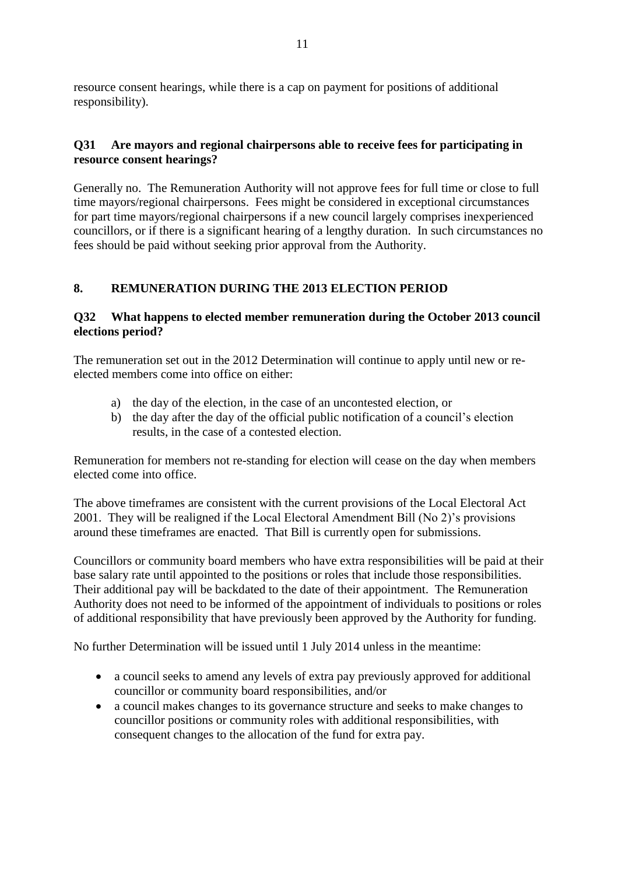resource consent hearings, while there is a cap on payment for positions of additional responsibility).

# **Q31 Are mayors and regional chairpersons able to receive fees for participating in resource consent hearings?**

Generally no. The Remuneration Authority will not approve fees for full time or close to full time mayors/regional chairpersons. Fees might be considered in exceptional circumstances for part time mayors/regional chairpersons if a new council largely comprises inexperienced councillors, or if there is a significant hearing of a lengthy duration. In such circumstances no fees should be paid without seeking prior approval from the Authority.

# **8. REMUNERATION DURING THE 2013 ELECTION PERIOD**

# **Q32 What happens to elected member remuneration during the October 2013 council elections period?**

The remuneration set out in the 2012 Determination will continue to apply until new or reelected members come into office on either:

- a) the day of the election, in the case of an uncontested election, or
- b) the day after the day of the official public notification of a council's election results, in the case of a contested election.

Remuneration for members not re-standing for election will cease on the day when members elected come into office.

The above timeframes are consistent with the current provisions of the Local Electoral Act 2001. They will be realigned if the Local Electoral Amendment Bill (No 2)'s provisions around these timeframes are enacted. That Bill is currently open for submissions.

Councillors or community board members who have extra responsibilities will be paid at their base salary rate until appointed to the positions or roles that include those responsibilities. Their additional pay will be backdated to the date of their appointment. The Remuneration Authority does not need to be informed of the appointment of individuals to positions or roles of additional responsibility that have previously been approved by the Authority for funding.

No further Determination will be issued until 1 July 2014 unless in the meantime:

- a council seeks to amend any levels of extra pay previously approved for additional councillor or community board responsibilities, and/or
- a council makes changes to its governance structure and seeks to make changes to councillor positions or community roles with additional responsibilities, with consequent changes to the allocation of the fund for extra pay.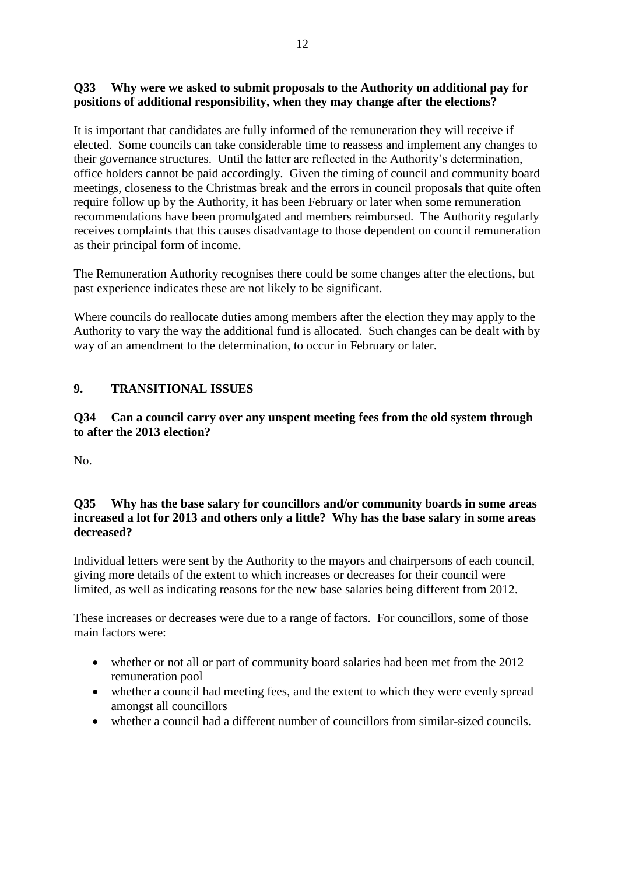## **Q33 Why were we asked to submit proposals to the Authority on additional pay for positions of additional responsibility, when they may change after the elections?**

It is important that candidates are fully informed of the remuneration they will receive if elected. Some councils can take considerable time to reassess and implement any changes to their governance structures. Until the latter are reflected in the Authority's determination, office holders cannot be paid accordingly. Given the timing of council and community board meetings, closeness to the Christmas break and the errors in council proposals that quite often require follow up by the Authority, it has been February or later when some remuneration recommendations have been promulgated and members reimbursed. The Authority regularly receives complaints that this causes disadvantage to those dependent on council remuneration as their principal form of income.

The Remuneration Authority recognises there could be some changes after the elections, but past experience indicates these are not likely to be significant.

Where councils do reallocate duties among members after the election they may apply to the Authority to vary the way the additional fund is allocated. Such changes can be dealt with by way of an amendment to the determination, to occur in February or later.

# **9. TRANSITIONAL ISSUES**

**Q34 Can a council carry over any unspent meeting fees from the old system through to after the 2013 election?**

No.

## **Q35 Why has the base salary for councillors and/or community boards in some areas increased a lot for 2013 and others only a little? Why has the base salary in some areas decreased?**

Individual letters were sent by the Authority to the mayors and chairpersons of each council, giving more details of the extent to which increases or decreases for their council were limited, as well as indicating reasons for the new base salaries being different from 2012.

These increases or decreases were due to a range of factors. For councillors, some of those main factors were:

- whether or not all or part of community board salaries had been met from the 2012 remuneration pool
- whether a council had meeting fees, and the extent to which they were evenly spread amongst all councillors
- whether a council had a different number of councillors from similar-sized councils.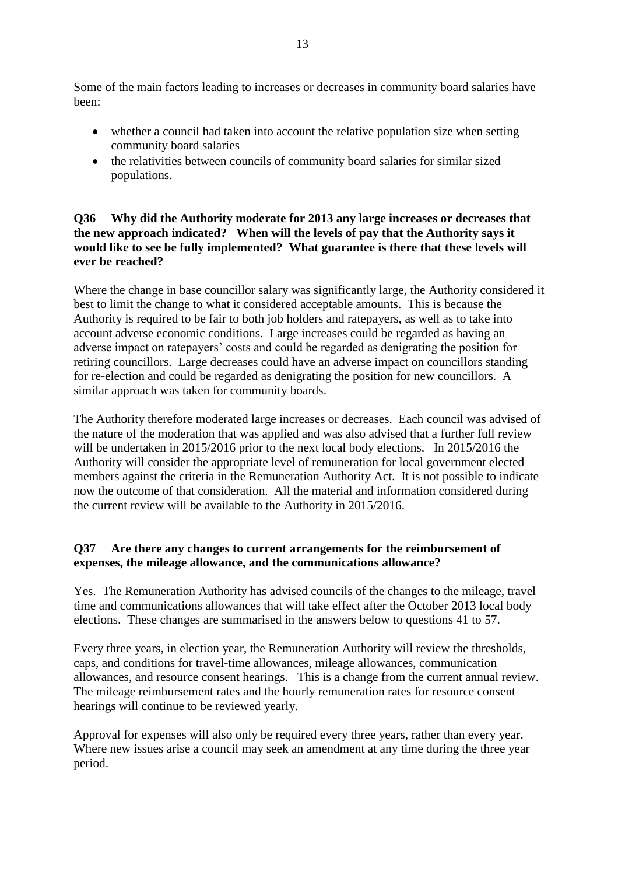Some of the main factors leading to increases or decreases in community board salaries have been:

- whether a council had taken into account the relative population size when setting community board salaries
- the relativities between councils of community board salaries for similar sized populations.

# **Q36 Why did the Authority moderate for 2013 any large increases or decreases that the new approach indicated? When will the levels of pay that the Authority says it would like to see be fully implemented? What guarantee is there that these levels will ever be reached?**

Where the change in base councillor salary was significantly large, the Authority considered it best to limit the change to what it considered acceptable amounts. This is because the Authority is required to be fair to both job holders and ratepayers, as well as to take into account adverse economic conditions. Large increases could be regarded as having an adverse impact on ratepayers' costs and could be regarded as denigrating the position for retiring councillors. Large decreases could have an adverse impact on councillors standing for re-election and could be regarded as denigrating the position for new councillors. A similar approach was taken for community boards.

The Authority therefore moderated large increases or decreases. Each council was advised of the nature of the moderation that was applied and was also advised that a further full review will be undertaken in 2015/2016 prior to the next local body elections. In 2015/2016 the Authority will consider the appropriate level of remuneration for local government elected members against the criteria in the Remuneration Authority Act. It is not possible to indicate now the outcome of that consideration. All the material and information considered during the current review will be available to the Authority in 2015/2016.

# **Q37 Are there any changes to current arrangements for the reimbursement of expenses, the mileage allowance, and the communications allowance?**

Yes. The Remuneration Authority has advised councils of the changes to the mileage, travel time and communications allowances that will take effect after the October 2013 local body elections. These changes are summarised in the answers below to questions 41 to 57.

Every three years, in election year, the Remuneration Authority will review the thresholds, caps, and conditions for travel-time allowances, mileage allowances, communication allowances, and resource consent hearings. This is a change from the current annual review. The mileage reimbursement rates and the hourly remuneration rates for resource consent hearings will continue to be reviewed yearly.

Approval for expenses will also only be required every three years, rather than every year. Where new issues arise a council may seek an amendment at any time during the three year period.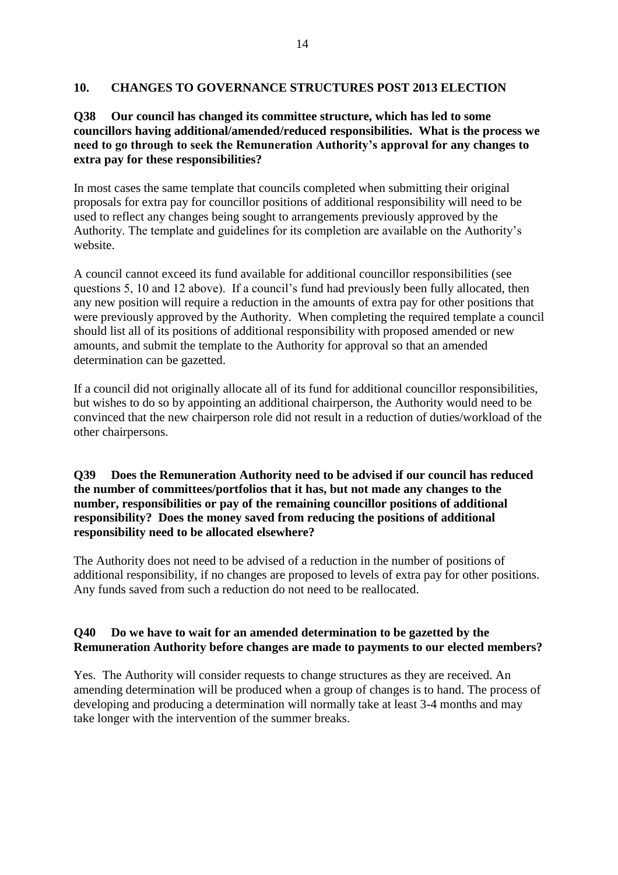## **10. CHANGES TO GOVERNANCE STRUCTURES POST 2013 ELECTION**

## **Q38 Our council has changed its committee structure, which has led to some councillors having additional/amended/reduced responsibilities. What is the process we need to go through to seek the Remuneration Authority's approval for any changes to extra pay for these responsibilities?**

In most cases the same template that councils completed when submitting their original proposals for extra pay for councillor positions of additional responsibility will need to be used to reflect any changes being sought to arrangements previously approved by the Authority. The template and guidelines for its completion are available on the Authority's website.

A council cannot exceed its fund available for additional councillor responsibilities (see questions 5, 10 and 12 above). If a council's fund had previously been fully allocated, then any new position will require a reduction in the amounts of extra pay for other positions that were previously approved by the Authority. When completing the required template a council should list all of its positions of additional responsibility with proposed amended or new amounts, and submit the template to the Authority for approval so that an amended determination can be gazetted.

If a council did not originally allocate all of its fund for additional councillor responsibilities, but wishes to do so by appointing an additional chairperson, the Authority would need to be convinced that the new chairperson role did not result in a reduction of duties/workload of the other chairpersons.

## **Q39 Does the Remuneration Authority need to be advised if our council has reduced the number of committees/portfolios that it has, but not made any changes to the number, responsibilities or pay of the remaining councillor positions of additional responsibility? Does the money saved from reducing the positions of additional responsibility need to be allocated elsewhere?**

The Authority does not need to be advised of a reduction in the number of positions of additional responsibility, if no changes are proposed to levels of extra pay for other positions. Any funds saved from such a reduction do not need to be reallocated.

# **Q40 Do we have to wait for an amended determination to be gazetted by the Remuneration Authority before changes are made to payments to our elected members?**

Yes. The Authority will consider requests to change structures as they are received. An amending determination will be produced when a group of changes is to hand. The process of developing and producing a determination will normally take at least 3-4 months and may take longer with the intervention of the summer breaks.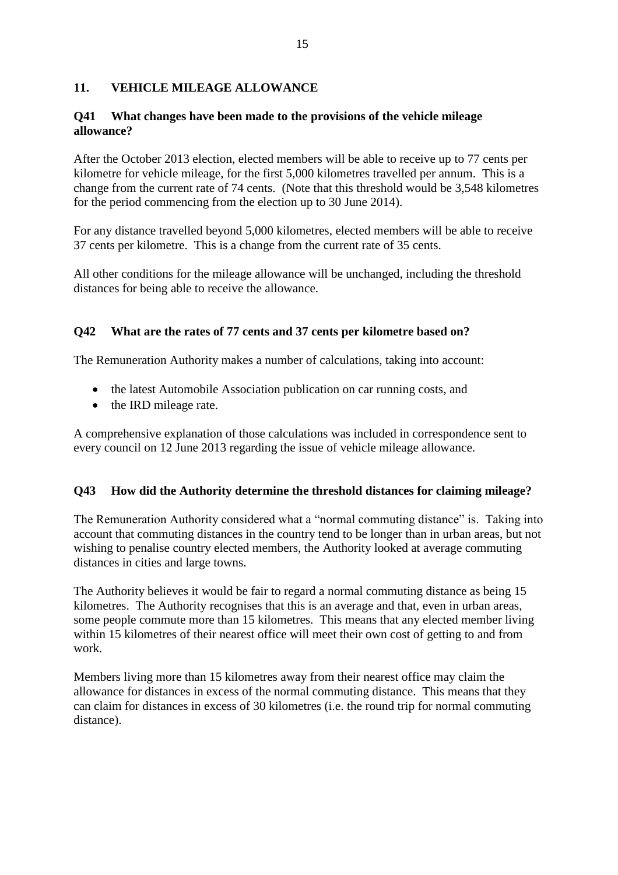# **11. VEHICLE MILEAGE ALLOWANCE**

## **Q41 What changes have been made to the provisions of the vehicle mileage allowance?**

After the October 2013 election, elected members will be able to receive up to 77 cents per kilometre for vehicle mileage, for the first 5,000 kilometres travelled per annum. This is a change from the current rate of 74 cents. (Note that this threshold would be 3,548 kilometres for the period commencing from the election up to 30 June 2014).

For any distance travelled beyond 5,000 kilometres, elected members will be able to receive 37 cents per kilometre. This is a change from the current rate of 35 cents.

All other conditions for the mileage allowance will be unchanged, including the threshold distances for being able to receive the allowance.

# **Q42 What are the rates of 77 cents and 37 cents per kilometre based on?**

The Remuneration Authority makes a number of calculations, taking into account:

- the latest Automobile Association publication on car running costs, and
- the IRD mileage rate.

A comprehensive explanation of those calculations was included in correspondence sent to every council on 12 June 2013 regarding the issue of vehicle mileage allowance.

# **Q43 How did the Authority determine the threshold distances for claiming mileage?**

The Remuneration Authority considered what a "normal commuting distance" is. Taking into account that commuting distances in the country tend to be longer than in urban areas, but not wishing to penalise country elected members, the Authority looked at average commuting distances in cities and large towns.

The Authority believes it would be fair to regard a normal commuting distance as being 15 kilometres. The Authority recognises that this is an average and that, even in urban areas, some people commute more than 15 kilometres. This means that any elected member living within 15 kilometres of their nearest office will meet their own cost of getting to and from work.

Members living more than 15 kilometres away from their nearest office may claim the allowance for distances in excess of the normal commuting distance. This means that they can claim for distances in excess of 30 kilometres (i.e. the round trip for normal commuting distance).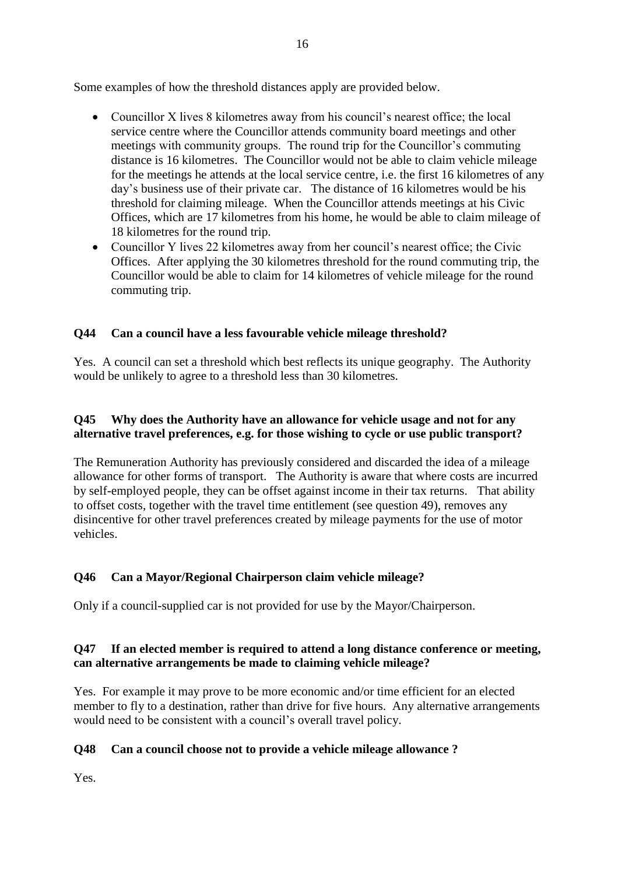Some examples of how the threshold distances apply are provided below.

- Councillor X lives 8 kilometres away from his council's nearest office; the local service centre where the Councillor attends community board meetings and other meetings with community groups. The round trip for the Councillor's commuting distance is 16 kilometres. The Councillor would not be able to claim vehicle mileage for the meetings he attends at the local service centre, i.e. the first 16 kilometres of any day's business use of their private car. The distance of 16 kilometres would be his threshold for claiming mileage. When the Councillor attends meetings at his Civic Offices, which are 17 kilometres from his home, he would be able to claim mileage of 18 kilometres for the round trip.
- Councillor Y lives 22 kilometres away from her council's nearest office; the Civic Offices. After applying the 30 kilometres threshold for the round commuting trip, the Councillor would be able to claim for 14 kilometres of vehicle mileage for the round commuting trip.

# **Q44 Can a council have a less favourable vehicle mileage threshold?**

Yes. A council can set a threshold which best reflects its unique geography. The Authority would be unlikely to agree to a threshold less than 30 kilometres.

# **Q45 Why does the Authority have an allowance for vehicle usage and not for any alternative travel preferences, e.g. for those wishing to cycle or use public transport?**

The Remuneration Authority has previously considered and discarded the idea of a mileage allowance for other forms of transport. The Authority is aware that where costs are incurred by self-employed people, they can be offset against income in their tax returns. That ability to offset costs, together with the travel time entitlement (see question 49), removes any disincentive for other travel preferences created by mileage payments for the use of motor vehicles.

# **Q46 Can a Mayor/Regional Chairperson claim vehicle mileage?**

Only if a council-supplied car is not provided for use by the Mayor/Chairperson.

# **Q47 If an elected member is required to attend a long distance conference or meeting, can alternative arrangements be made to claiming vehicle mileage?**

Yes. For example it may prove to be more economic and/or time efficient for an elected member to fly to a destination, rather than drive for five hours. Any alternative arrangements would need to be consistent with a council's overall travel policy.

# **Q48 Can a council choose not to provide a vehicle mileage allowance ?**

Yes.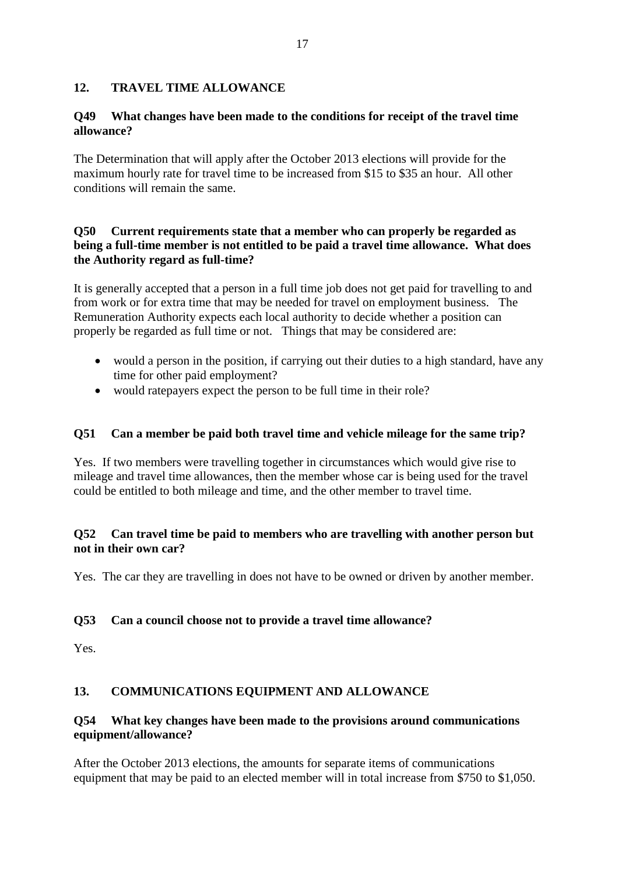# **12. TRAVEL TIME ALLOWANCE**

#### **Q49 What changes have been made to the conditions for receipt of the travel time allowance?**

The Determination that will apply after the October 2013 elections will provide for the maximum hourly rate for travel time to be increased from \$15 to \$35 an hour. All other conditions will remain the same.

## **Q50 Current requirements state that a member who can properly be regarded as being a full-time member is not entitled to be paid a travel time allowance. What does the Authority regard as full-time?**

It is generally accepted that a person in a full time job does not get paid for travelling to and from work or for extra time that may be needed for travel on employment business. The Remuneration Authority expects each local authority to decide whether a position can properly be regarded as full time or not. Things that may be considered are:

- would a person in the position, if carrying out their duties to a high standard, have any time for other paid employment?
- would ratepayers expect the person to be full time in their role?

#### **Q51 Can a member be paid both travel time and vehicle mileage for the same trip?**

Yes. If two members were travelling together in circumstances which would give rise to mileage and travel time allowances, then the member whose car is being used for the travel could be entitled to both mileage and time, and the other member to travel time.

## **Q52 Can travel time be paid to members who are travelling with another person but not in their own car?**

Yes. The car they are travelling in does not have to be owned or driven by another member.

#### **Q53 Can a council choose not to provide a travel time allowance?**

Yes.

#### **13. COMMUNICATIONS EQUIPMENT AND ALLOWANCE**

## **Q54 What key changes have been made to the provisions around communications equipment/allowance?**

After the October 2013 elections, the amounts for separate items of communications equipment that may be paid to an elected member will in total increase from \$750 to \$1,050.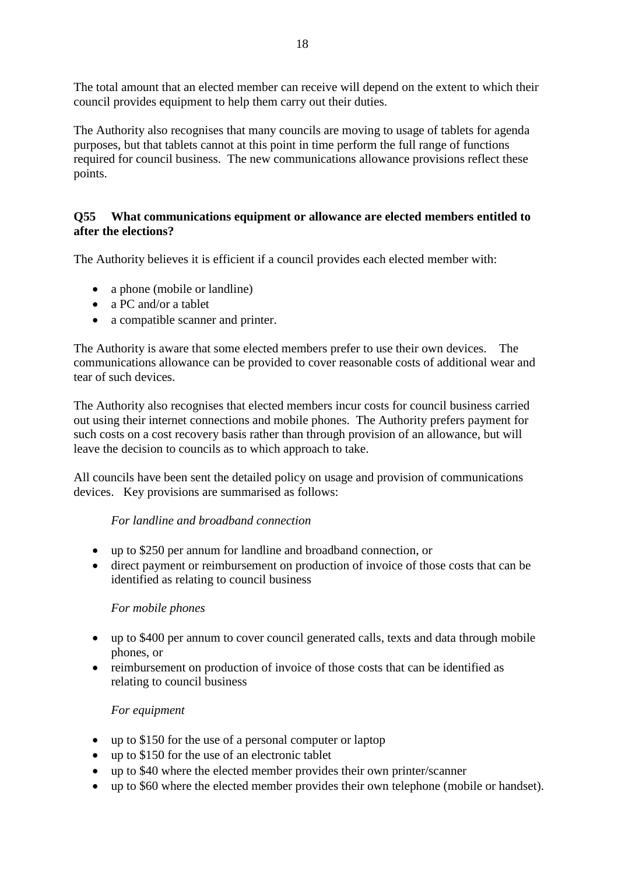The total amount that an elected member can receive will depend on the extent to which their council provides equipment to help them carry out their duties.

The Authority also recognises that many councils are moving to usage of tablets for agenda purposes, but that tablets cannot at this point in time perform the full range of functions required for council business. The new communications allowance provisions reflect these points.

# **Q55 What communications equipment or allowance are elected members entitled to after the elections?**

The Authority believes it is efficient if a council provides each elected member with:

- a phone (mobile or landline)
- a PC and/or a tablet
- a compatible scanner and printer.

The Authority is aware that some elected members prefer to use their own devices. The communications allowance can be provided to cover reasonable costs of additional wear and tear of such devices.

The Authority also recognises that elected members incur costs for council business carried out using their internet connections and mobile phones. The Authority prefers payment for such costs on a cost recovery basis rather than through provision of an allowance, but will leave the decision to councils as to which approach to take.

All councils have been sent the detailed policy on usage and provision of communications devices. Key provisions are summarised as follows:

#### *For landline and broadband connection*

- up to \$250 per annum for landline and broadband connection, or
- direct payment or reimbursement on production of invoice of those costs that can be identified as relating to council business

#### *For mobile phones*

- up to \$400 per annum to cover council generated calls, texts and data through mobile phones, or
- reimbursement on production of invoice of those costs that can be identified as relating to council business

#### *For equipment*

- up to \$150 for the use of a personal computer or laptop
- up to \$150 for the use of an electronic tablet
- up to \$40 where the elected member provides their own printer/scanner
- up to \$60 where the elected member provides their own telephone (mobile or handset).